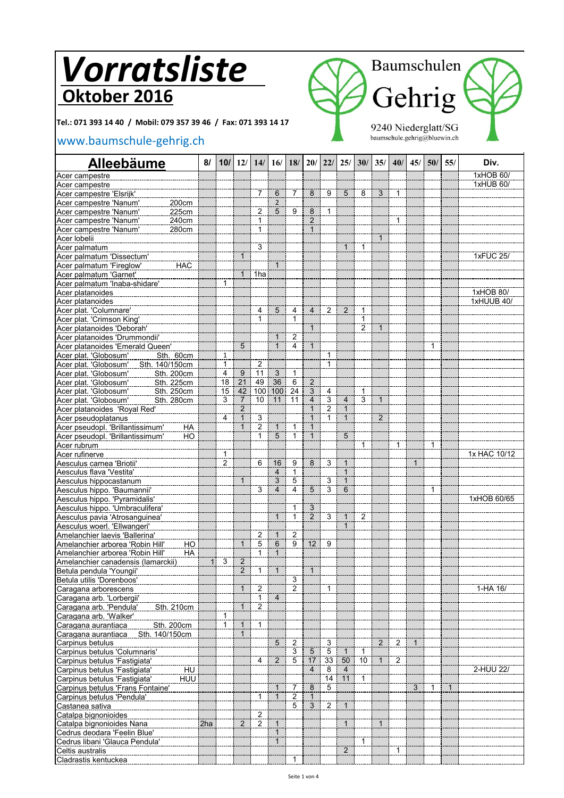**Tel.: 071 393 14 40 / Mobil: 079 357 39 46 / Fax: 071 393 14 17**

Cladrastis kentuckea **1999 - January 1999, 1999 - January 1999**, 1999, 1999, 1999, 1999

### [www.baumschule-gehrig.c](http://www.baumschule-gehrig.ch/)h



| <b>Alleebäume</b>                                                              | 8/           | 10/               |                 | 12/ 14/                 | 16/                 |                                  | 18/ 20/         | 22/                          | 25/               | 30/             | 35/            | 40/            | 45/          | 50/          | 55/          | Div.         |
|--------------------------------------------------------------------------------|--------------|-------------------|-----------------|-------------------------|---------------------|----------------------------------|-----------------|------------------------------|-------------------|-----------------|----------------|----------------|--------------|--------------|--------------|--------------|
| Acer campestre                                                                 |              |                   |                 |                         |                     |                                  |                 |                              |                   |                 |                |                |              |              |              | 1xHOB 60/    |
| Acer campestre                                                                 |              |                   |                 |                         |                     |                                  |                 |                              |                   |                 |                |                |              |              |              | 1xHUB 60/    |
| Acer campestre 'Elsrijk'                                                       |              |                   |                 | $\overline{7}$          | 6                   | $\overline{7}$                   | 8               | 9                            | $\overline{5}$    | 8               | $\overline{3}$ | $\mathbf{1}$   |              |              |              |              |
| 200cm<br>Acer campestre 'Nanum'                                                |              |                   |                 |                         | $\overline{2}$      |                                  |                 |                              |                   |                 |                |                |              |              |              |              |
| 225cm<br>Acer campestre 'Nanum'                                                |              |                   |                 | $\overline{c}$          | 5                   | 9                                | 8               | $\mathbf{1}$                 |                   |                 |                |                |              |              |              |              |
| Acer campestre 'Nanum'<br>240cm                                                |              |                   |                 | 1                       |                     |                                  | $\overline{2}$  |                              |                   |                 |                | $\mathbf{1}$   |              |              |              |              |
| 280cm<br>Acer campestre 'Nanum'                                                |              |                   |                 | 1                       |                     |                                  | $\mathbf{1}$    |                              |                   |                 | $\mathbf{1}$   |                |              |              |              |              |
| Acer lobelii<br>Acer palmatum                                                  |              |                   |                 | 3                       |                     |                                  |                 |                              | $\mathbf{1}$      | 1               |                |                |              |              |              |              |
| Acer palmatum 'Dissectum'                                                      |              |                   |                 |                         |                     |                                  |                 |                              |                   |                 |                |                |              |              |              | 1xFUC 25/    |
| <b>HAC</b><br>Acer palmatum 'Fireglow'                                         |              |                   |                 |                         | $\mathbf{1}$        |                                  |                 |                              |                   |                 |                |                |              |              |              |              |
| Acer palmatum 'Garnet'                                                         |              |                   | $\mathbf{1}$    | 1ha                     |                     |                                  |                 |                              |                   |                 |                |                |              |              |              |              |
| Acer palmatum 'Inaba-shidare'                                                  |              | $\mathbf{1}$      |                 |                         |                     |                                  |                 |                              |                   |                 |                |                |              |              |              |              |
| Acer platanoides                                                               |              |                   |                 |                         |                     |                                  |                 |                              |                   |                 |                |                |              |              |              | 1xHOB 80/    |
| Acer platanoides                                                               |              |                   |                 |                         |                     |                                  |                 |                              |                   |                 |                |                |              |              |              | 1xHUUB 40/   |
| Acer plat. 'Columnare'                                                         |              |                   |                 | 4                       | 5                   | 4                                | 4               | $\overline{2}$               | $\overline{2}$    | 1               |                |                |              |              |              |              |
| Acer plat. 'Crimson King'                                                      |              |                   |                 | $\mathbf{1}$            |                     | 1                                |                 |                              |                   | 1               |                |                |              |              |              |              |
| Acer platanoides 'Deborah'                                                     |              |                   |                 |                         |                     |                                  | $\mathbf{1}$    |                              |                   | $\overline{2}$  | $\mathbf{1}$   |                |              |              |              |              |
| Acer platanoides 'Drummondii'                                                  |              |                   |                 |                         | $\mathbf{1}$        | $\overline{2}$                   |                 |                              |                   |                 |                |                |              |              |              |              |
| Acer platanoides 'Emerald Queen'                                               |              |                   | $\overline{5}$  |                         | $\mathbf{1}$        | $\overline{4}$                   | $\mathbf{1}$    |                              |                   |                 |                |                |              | 1            |              |              |
| Acer plat. 'Globosum'<br>Sth. 60cm                                             |              | 1<br>1            |                 |                         |                     |                                  |                 | $\mathbf{1}$<br>$\mathbf{1}$ |                   |                 |                |                |              |              |              |              |
| Sth. 140/150cm<br>Acer plat. 'Globosum'<br>Acer plat. 'Globosum'<br>Sth. 200cm |              | 4                 | 9               | $\overline{2}$<br>11    | $\overline{3}$      | 1                                |                 |                              |                   |                 |                |                |              |              |              |              |
| Acer plat. 'Globosum'<br>Sth. 225cm                                            |              | 18                | $\overline{21}$ | 49                      | $\overline{36}$     | 6                                | $\overline{2}$  |                              |                   |                 |                |                |              |              |              |              |
| Acer plat. 'Globosum'<br>Sth. 250cm                                            |              | 15                | 42              | 100 <sub>1</sub>        | 100                 | 24                               | 3               | 4                            |                   | 1               |                |                |              |              |              |              |
| Acer plat. 'Globosum'<br>Sth. 280cm                                            |              | 3                 | $\overline{7}$  | 10                      | 11                  | 11                               | $\overline{4}$  | $\overline{3}$               | $\overline{4}$    | $\overline{3}$  | $\mathbf{1}$   |                |              |              |              |              |
| Acer platanoides 'Royal Red'                                                   |              |                   | $\overline{2}$  |                         |                     |                                  | 1               | $\overline{2}$               | $\mathbf{1}$      |                 |                |                |              |              |              |              |
| Acer pseudoplatanus                                                            |              | 4                 |                 | 3                       |                     |                                  |                 | 1                            | $\mathbf{1}$      |                 | $\overline{2}$ |                |              |              |              |              |
| Acer pseudopl. 'Brillantissimum'<br>HA                                         |              |                   |                 | $\overline{c}$          | $\mathbf{1}$        | $\mathbf{1}$                     | $\mathbf 1$     |                              |                   |                 |                |                |              |              |              |              |
| Acer pseudopl. 'Brillantissimum'<br>HO                                         |              |                   |                 | $\mathbf{1}$            | $\overline{5}$      | $\mathbf{1}$                     | $\mathbf{1}$    |                              | 5                 |                 |                |                |              |              |              |              |
| Acer rubrum                                                                    |              |                   |                 |                         |                     |                                  |                 |                              |                   | $\mathbf{1}$    |                | 1              |              | 1            |              |              |
| Acer rufinerve                                                                 |              | 1                 |                 |                         |                     |                                  |                 |                              |                   |                 |                |                |              |              |              | 1x HAC 10/12 |
| Aesculus carnea 'Briotii'                                                      |              | $\overline{2}$    |                 | 6                       | 16                  | 9                                | 8               | 3                            | $\mathbf{1}$      |                 |                |                | $\mathbf{1}$ |              |              |              |
| Aesculus flava 'Vestita'                                                       |              |                   |                 |                         | $\overline{4}$      | $\mathbf{1}$                     |                 |                              | $\mathbf{1}$      |                 |                |                |              |              |              |              |
| Aesculus hippocastanum                                                         |              |                   |                 |                         | 3<br>$\overline{4}$ | $\overline{5}$<br>$\overline{4}$ |                 | 3<br>3                       | $\mathbf{1}$<br>6 |                 |                |                |              |              |              |              |
| Aesculus hippo. 'Baumannii'                                                    |              |                   |                 | 3                       |                     |                                  | 5               |                              |                   |                 |                |                |              | $\mathbf{1}$ |              | 1xHOB 60/65  |
| Aesculus hippo. 'Pyramidalis'<br>Aesculus hippo. 'Umbraculifera'               |              |                   |                 |                         |                     | 1                                | 3               |                              |                   |                 |                |                |              |              |              |              |
| Aesculus pavia 'Atrosanguinea'                                                 |              |                   |                 |                         | $\mathbf{1}$        | $\mathbf{1}$                     | $\overline{2}$  | $\overline{3}$               | $\mathbf{1}$      | $\overline{2}$  |                |                |              |              |              |              |
| Aesculus woerl. 'Ellwangeri'                                                   |              |                   |                 |                         |                     |                                  |                 |                              | $\mathbf{1}$      |                 |                |                |              |              |              |              |
| Amelanchier laevis 'Ballerina'                                                 |              |                   |                 | $\overline{\mathbf{c}}$ | $\mathbf{1}$        | $\overline{2}$                   |                 |                              |                   |                 |                |                |              |              |              |              |
| Amelanchier arborea 'Robin Hill'<br>HO                                         |              |                   | $\mathbf{1}$    | 5                       | 6                   | $\overline{9}$                   | 12 <sup>2</sup> | 9                            |                   |                 |                |                |              |              |              |              |
| Amelanchier arborea 'Robin Hill'<br>HA                                         |              |                   |                 | $\mathbf{1}$            | $\overline{1}$      |                                  |                 |                              |                   |                 |                |                |              |              |              |              |
| Amelanchier canadensis (lamarckii)                                             | $\mathbf{1}$ | 3                 | $\overline{2}$  |                         |                     |                                  |                 |                              |                   |                 |                |                |              |              |              |              |
| Betula pendula 'Youngii'                                                       |              |                   | 2               | $\mathbf{1}$            | $\mathbf{1}$        |                                  | $\mathbf{1}$    |                              |                   |                 |                |                |              |              |              |              |
| Betula utilis 'Dorenboos'                                                      |              |                   |                 |                         |                     | $\overline{3}$                   |                 |                              |                   |                 |                |                |              |              |              |              |
| Caragana arborescens                                                           |              |                   |                 | 2                       |                     | $\overline{2}$                   |                 | $\mathbf{1}$                 |                   |                 |                |                |              |              |              | $1-HA$ $16/$ |
| Caragana arb. 'Lorbergii'                                                      |              |                   |                 | 1                       | 4                   |                                  |                 |                              |                   |                 |                |                |              |              |              |              |
| Sth. 210cm<br>Caragana arb. 'Pendula'                                          |              |                   | $\overline{1}$  | $\overline{2}$          |                     |                                  |                 |                              |                   |                 |                |                |              |              |              |              |
| Caragana arb. 'Walker'<br>Sth. 200cm                                           |              | 1<br>$\mathbf{1}$ | $\mathbf{1}$    | $\mathbf{1}$            |                     |                                  |                 |                              |                   |                 |                |                |              |              |              |              |
| Caragana aurantiaca<br>Caragana aurantiaca<br>Sth. 140/150cm                   |              |                   | $\mathbf 1$     |                         |                     |                                  |                 |                              |                   |                 |                |                |              |              |              |              |
| Carpinus betulus                                                               |              |                   |                 |                         | 5                   | $\overline{2}$                   |                 | $\overline{3}$               |                   |                 | 2              | $\overline{2}$ | $\mathbf{1}$ |              |              |              |
| Carpinus betulus 'Columnaris'                                                  |              |                   |                 |                         |                     | $\overline{3}$                   | 5               | $\mathbf 5$                  | $\mathbf{1}$      | 1               |                |                |              |              |              |              |
| Carpinus betulus 'Fastigiata'                                                  |              |                   |                 | 4                       | 2                   | $\overline{5}$                   | $\overline{17}$ | 33                           | 50                | $\overline{10}$ |                | $\overline{2}$ |              |              |              |              |
| HU<br>Carpinus betulus 'Fastigiata'                                            |              |                   |                 |                         |                     |                                  | $\overline{4}$  | 8                            | $\overline{4}$    |                 |                |                |              |              |              | 2-HUU 22/    |
| Carpinus betulus 'Fastigiata'<br>HUU                                           |              |                   |                 |                         |                     |                                  |                 | $\overline{14}$              | 11                | $\mathbf{1}$    |                |                |              |              |              |              |
| Carpinus betulus 'Frans Fontaine'                                              |              |                   |                 |                         | $\mathbf{1}$        | 7                                | $\overline{8}$  | 5                            |                   |                 |                |                | 3            | $\mathbf{1}$ | $\mathbf{1}$ |              |
| Carpinus betulus 'Pendula'                                                     |              |                   |                 | 1                       | $\mathbf{1}$        | $\frac{2}{5}$                    |                 |                              |                   |                 |                |                |              |              |              |              |
| Castanea sativa                                                                |              |                   |                 |                         |                     |                                  | 3               | $\overline{2}$               | $\mathbf{1}$      |                 |                |                |              |              |              |              |
| Catalpa bignonioides                                                           |              |                   |                 | $\frac{2}{2}$           |                     |                                  |                 |                              |                   |                 |                |                |              |              |              |              |
| Catalpa bignonioides Nana                                                      | 2ha          |                   | 2               |                         | $\mathbf{1}$        |                                  |                 |                              | $\mathbf{1}$      |                 | $\mathbf{1}$   |                |              |              |              |              |
| Cedrus deodara 'Feelin Blue'                                                   |              |                   |                 |                         | $\overline{1}$      |                                  |                 |                              |                   |                 |                |                |              |              |              |              |
| Cedrus libani 'Glauca Pendula'                                                 |              |                   |                 |                         | $\mathbf{1}$        |                                  |                 |                              | $\overline{2}$    | 1               |                | 1              |              |              |              |              |
| Celtis australis                                                               |              |                   |                 |                         |                     |                                  |                 |                              |                   |                 |                |                |              |              |              |              |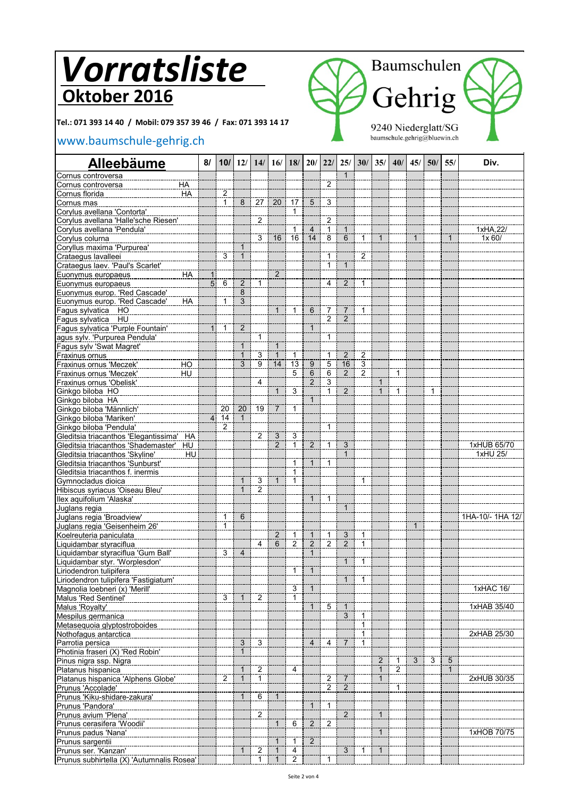**Tel.: 071 393 14 40 / Mobil: 079 357 39 46 / Fax: 071 393 14 17**

### [www.baumschule-gehrig.c](http://www.baumschule-gehrig.ch/)h



| <b>Alleebäume</b>                     |           | 8/ |                |                              | 10/ 12/ 14/ 16/                |                | 18/ 20/ 22/ 25/ 30/ 35/ 40/ |                |                |                                |                |                              |                | 45/1         | 50/            | 55/          | Div.             |
|---------------------------------------|-----------|----|----------------|------------------------------|--------------------------------|----------------|-----------------------------|----------------|----------------|--------------------------------|----------------|------------------------------|----------------|--------------|----------------|--------------|------------------|
| Cornus controversa                    |           |    |                |                              |                                |                |                             |                |                | $\mathbf 1$                    |                |                              |                |              |                |              |                  |
| Cornus controversa                    | ΗA        |    |                |                              |                                |                |                             |                | $\overline{2}$ |                                |                |                              |                |              |                |              |                  |
| Cornus florida                        | HA        |    | 2              |                              |                                |                |                             |                |                |                                |                |                              |                |              |                |              |                  |
| Cornus mas                            |           |    | $\mathbf{1}$   | 8                            | 27                             | 20             | 17                          | 5              | $\overline{3}$ |                                |                |                              |                |              |                |              |                  |
| Corylus avellana 'Contorta'           |           |    |                |                              |                                |                | 1                           |                |                |                                |                |                              |                |              |                |              |                  |
| Corylus avellana 'Halle'sche Riesen'  |           |    |                |                              | $\overline{2}$                 |                |                             |                | $\overline{2}$ |                                |                |                              |                |              |                |              |                  |
| Corylus avellana 'Pendula'            |           |    |                |                              |                                |                | 1                           | $\overline{4}$ | $\mathbf{1}$   | $\mathbf{1}$                   |                |                              |                |              |                |              | 1xHA,22/         |
| Corylus colurna                       |           |    |                |                              | 3                              | 16             | $\overline{16}$             | 14             | 8              | $\overline{6}$                 | $\mathbf{1}$   | $\mathbf{1}$                 |                | $\mathbf{1}$ |                | $\mathbf{1}$ | 1x 60/           |
| Coryllus maxima 'Purpurea'            |           |    |                | 1                            |                                |                |                             |                |                |                                |                |                              |                |              |                |              |                  |
| Crataegus lavalleei                   |           |    | 3              | $\mathbf{1}$                 |                                |                |                             |                | $\mathbf{1}$   |                                | $\overline{2}$ |                              |                |              |                |              |                  |
| Crataegus laev. 'Paul's Scarlet'      |           |    |                |                              |                                |                |                             |                | $\mathbf{1}$   | $\mathbf{1}$                   |                |                              |                |              |                |              |                  |
| Euonymus europaeus                    | HA        |    |                |                              |                                | $\overline{2}$ |                             |                |                |                                |                |                              |                |              |                |              |                  |
| Euonymus europaeus                    |           | 5  | 6              | 2                            | 1                              |                |                             |                | 4              | 2                              | $\mathbf{1}$   |                              |                |              |                |              |                  |
| Euonymus europ. 'Red Cascade'         |           |    |                | 8                            |                                |                |                             |                |                |                                |                |                              |                |              |                |              |                  |
| Euonymus europ. 'Red Cascade'         | HA        |    | 1              | 3                            |                                |                |                             |                |                |                                |                |                              |                |              |                |              |                  |
| Fagus sylvatica HO                    |           |    |                |                              |                                | $\mathbf{1}$   | $\mathbf{1}$                | 6              | 7              | $\overline{7}$                 | $\mathbf{1}$   |                              |                |              |                |              |                  |
| HU<br>Fagus sylvatica                 |           |    |                |                              |                                |                |                             |                | $\overline{2}$ | $\overline{2}$                 |                |                              |                |              |                |              |                  |
| Fagus sylvatica 'Purple Fountain'     |           |    | 1              | $\overline{2}$               |                                |                |                             | 1              |                |                                |                |                              |                |              |                |              |                  |
| agus sylv. 'Purpurea Pendula'         |           |    |                |                              | $\overline{1}$                 |                |                             |                | $\mathbf{1}$   |                                |                |                              |                |              |                |              |                  |
| Fagus sylv 'Swat Magret'              |           |    |                |                              |                                | $\mathbf{1}$   |                             |                |                |                                |                |                              |                |              |                |              |                  |
| Fraxinus ornus                        |           |    |                | $\mathbf 1$                  | $\sqrt{3}$                     | $\mathbf{1}$   | 1                           |                | 1              | $\overline{2}$                 | $\overline{c}$ |                              |                |              |                |              |                  |
| Fraxinus ornus 'Meczek'               | HO        |    |                | $\overline{3}$               | $\overline{9}$                 | 14             | $\overline{13}$             | 9              | 5              | 16                             | $\overline{3}$ |                              |                |              |                |              |                  |
| Fraxinus ornus 'Meczek'               | HU        |    |                |                              |                                |                | 5                           | 6              | $\,6\,$        | 2                              | $\overline{2}$ |                              | $\mathbf{1}$   |              |                |              |                  |
| Fraxinus ornus 'Obelisk'              |           |    |                |                              | $\overline{4}$                 |                |                             | $\overline{2}$ | $\overline{3}$ |                                |                | 1                            |                |              |                |              |                  |
| Ginkgo biloba HO                      |           |    |                |                              |                                | $\mathbf{1}$   | 3                           |                | $\mathbf{1}$   | $\overline{2}$                 |                | $\mathbf{1}$                 | 1              |              | 1              |              |                  |
| Ginkgo biloba HA                      |           |    |                |                              |                                |                |                             | $\mathbf{1}$   |                |                                |                |                              |                |              |                |              |                  |
| Ginkgo biloba 'Männlich'              |           |    | 20             | 20                           | 19                             | $\overline{7}$ | $\mathbf{1}$                |                |                |                                |                |                              |                |              |                |              |                  |
| Ginkgo biloba 'Mariken'               |           |    | 14             | $\mathbf{1}$                 |                                |                |                             |                |                |                                |                |                              |                |              |                |              |                  |
| Ginkgo biloba 'Pendula'               |           |    | $\overline{c}$ |                              |                                |                |                             |                | $\mathbf{1}$   |                                |                |                              |                |              |                |              |                  |
| Gleditsia triacanthos 'Elegantissima' | HA        |    |                |                              | 2                              | 3              | 3                           |                |                |                                |                |                              |                |              |                |              |                  |
| Gleditsia triacanthos 'Shademaster'   | <b>HU</b> |    |                |                              |                                | $\overline{2}$ | 7                           | $\overline{2}$ | $\mathbf{1}$   | $\overline{3}$                 |                |                              |                |              |                |              | 1xHUB 65/70      |
| Gleditsia triacanthos 'Skyline'       | HU        |    |                |                              |                                |                |                             |                |                | $\mathbf{1}$                   |                |                              |                |              |                |              | 1xHU 25/         |
| Gleditsia triacanthos 'Sunburst'      |           |    |                |                              |                                |                | 1                           | $\mathbf{1}$   | $\mathbf{1}$   |                                |                |                              |                |              |                |              |                  |
| Gleditsia triacanthos f. inermis      |           |    |                |                              |                                |                | 1                           |                |                |                                |                |                              |                |              |                |              |                  |
| Gymnocladus dioica                    |           |    |                | $\mathbf 1$                  | 3                              | $\mathbf{1}$   | $\overline{1}$              |                |                |                                | $\mathbf{1}$   |                              |                |              |                |              |                  |
| Hibiscus syriacus 'Oiseau Bleu'       |           |    |                | $\mathbf{1}$                 | $\overline{2}$                 |                |                             |                |                |                                |                |                              |                |              |                |              |                  |
| Ilex aquifolium 'Alaska'              |           |    |                |                              |                                |                |                             | $\mathbf{1}$   | $\mathbf{1}$   |                                |                |                              |                |              |                |              |                  |
| Juglans regia                         |           |    |                |                              |                                |                |                             |                |                | $\overline{1}$                 |                |                              |                |              |                |              |                  |
| Juglans regia 'Broadview'             |           |    | 1              | $\,6$                        |                                |                |                             |                |                |                                |                |                              |                |              |                |              | 1HA-10/- 1HA 12/ |
| Juglans regia 'Geisenheim 26'         |           |    | 1              |                              |                                |                |                             |                |                |                                |                |                              |                | 1            |                |              |                  |
| Koelreuteria paniculata               |           |    |                |                              |                                | $\overline{c}$ | $\frac{1}{2}$               | $\mathbf{1}$   | $\overline{1}$ | $\overline{3}$                 | 1              |                              |                |              |                |              |                  |
| Liquidambar styraciflua               |           |    |                |                              | 4                              | $\overline{6}$ |                             | $\overline{2}$ | $\overline{2}$ | $\overline{2}$                 | $\overline{1}$ |                              |                |              |                |              |                  |
| Liquidambar styraciflua 'Gum Ball'    |           |    | 3              | $\overline{4}$               |                                |                |                             | $\mathbf{1}$   |                |                                |                |                              |                |              |                |              |                  |
| Liquidambar styr. 'Worplesdon'        |           |    |                |                              |                                |                |                             |                |                | $\mathbf{1}$                   | $\mathbf{1}$   |                              |                |              |                |              |                  |
| Liriodendron tulipifera               |           |    |                |                              |                                |                | $\mathbf{1}$                | $\mathbf{1}$   |                |                                |                |                              |                |              |                |              |                  |
| Liriodendron tulipifera 'Fastigiatum' |           |    |                |                              |                                |                |                             |                |                |                                | $1 \mid 1$     |                              |                |              |                |              |                  |
| Magnolia loebneri (x) 'Merill'        |           |    |                |                              |                                |                | 3                           | $\mathbf{1}$   |                |                                |                |                              |                |              |                |              | 1xHAC 16/        |
| Malus 'Red Sentinel'                  |           |    | 3              | $\mathbf{1}$                 | $\overline{2}$                 |                | $\mathbf{1}$                |                |                |                                |                |                              |                |              |                |              |                  |
| Malus 'Royalty'                       |           |    |                |                              |                                |                |                             | $\mathbf{1}$   | 5              | $\mathbf{1}$<br>$\overline{3}$ |                |                              |                |              |                |              | 1xHAB 35/40      |
| Mespilus germanica                    |           |    |                |                              |                                |                |                             |                |                |                                | $\mathbf{1}$   |                              |                |              |                |              |                  |
| Metasequoia glyptostroboides          |           |    |                |                              |                                |                |                             |                |                |                                | 1              |                              |                |              |                |              |                  |
| Nothofagus antarctica                 |           |    |                |                              |                                |                |                             |                |                |                                | $\mathbf{1}$   |                              |                |              |                |              | 2xHAB 25/30      |
| Parrotia persica                      |           |    |                | 3<br>$\mathbf{1}$            | 3                              |                |                             | 4              | 4              | $\overline{7}$                 | 1              |                              |                |              |                |              |                  |
| Photinia fraseri (X) 'Red Robin'      |           |    |                |                              |                                |                |                             |                |                |                                |                |                              |                |              |                |              |                  |
| Pinus nigra ssp. Nigra                |           |    |                |                              |                                |                |                             |                |                |                                |                | $\overline{c}$               | $\mathbf{1}$   | 3            | $\overline{3}$ | 5            |                  |
| Platanus hispanica                    |           |    | $\overline{c}$ | $\mathbf{1}$<br>$\mathbf{1}$ | $\overline{c}$<br>$\mathbf{1}$ |                | 4                           |                | $\overline{2}$ | $\overline{7}$                 |                | $\mathbf{1}$<br>$\mathbf{1}$ | $\overline{2}$ |              |                | $\mathbf{1}$ | 2xHUB 30/35      |
| Platanus hispanica 'Alphens Globe'    |           |    |                |                              |                                |                |                             |                |                |                                |                |                              |                |              |                |              |                  |
| Prunus 'Accolade'                     |           |    |                |                              |                                |                |                             |                | $\overline{c}$ | $\overline{2}$                 |                |                              | 1              |              |                |              |                  |
| Prunus 'Kiku-shidare-zakura'          |           |    |                | $\mathbf 1$                  | 6                              | $\mathbf{1}$   |                             |                |                |                                |                |                              |                |              |                |              |                  |
| Prunus 'Pandora'                      |           |    |                |                              |                                |                |                             | $\mathbf{1}$   | $\mathbf{1}$   |                                |                |                              |                |              |                |              |                  |
| Prunus avium 'Plena'                  |           |    |                |                              | 2                              | $\overline{1}$ |                             |                | $\overline{2}$ | $\overline{2}$                 |                | $\mathbf{1}$                 |                |              |                |              |                  |
| Prunus cerasifera 'Woodii'            |           |    |                |                              |                                |                | 6                           | $\overline{2}$ |                |                                |                |                              |                |              |                |              |                  |
| Prunus padus 'Nana'                   |           |    |                |                              |                                |                |                             |                |                |                                |                | $\mathbf{1}$                 |                |              |                |              | 1xHOB 70/75      |
| Prunus sargentii                      |           |    |                |                              |                                | 1              | 1                           | 2              |                |                                |                |                              |                |              |                |              |                  |
| Prunus ser. 'Kanzan'                  |           |    |                |                              | 2                              | $\mathbf{1}$   | $\overline{4}$              |                |                | 3                              | 1              | 1                            |                |              |                |              |                  |

Prunus subhirtella (X) 'Autumnalis Rosea' 1 1 2 1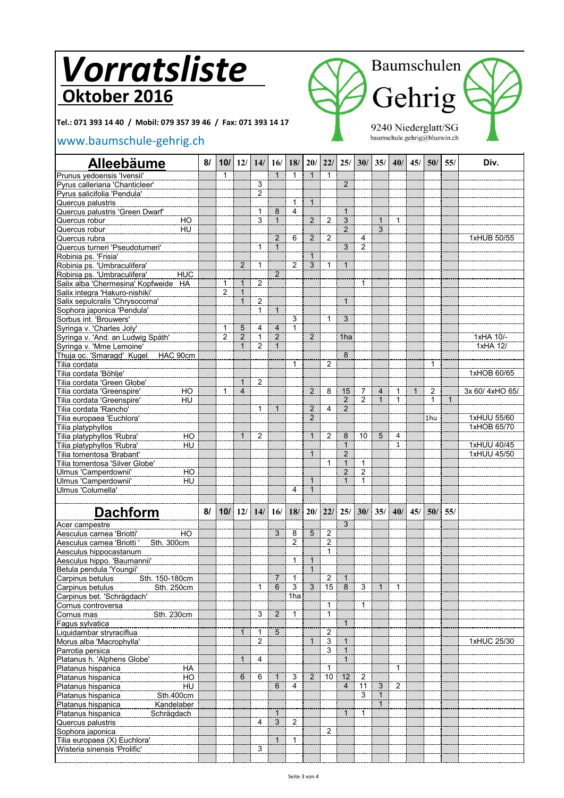**Tel.: 071 393 14 40 / Mobil: 079 357 39 46 / Fax: 071 393 14 17**

### [www.baumschule-gehrig.c](http://www.baumschule-gehrig.ch/)h



| <b>Alleebäume</b>                                    | 8/ |                |                | 10/ 12/ 14/ 16/                |                                | 18/            |                                  | 20/22/         | 25/                 | 30/                              | 35/            | 40/                          | 45/          | 50/            | 55/          | Div.           |
|------------------------------------------------------|----|----------------|----------------|--------------------------------|--------------------------------|----------------|----------------------------------|----------------|---------------------|----------------------------------|----------------|------------------------------|--------------|----------------|--------------|----------------|
| Prunus yedoensis 'Ivensii'                           |    | 1              |                |                                | $\mathbf{1}$                   | 1              | $\mathbf 1$                      | 1              |                     |                                  |                |                              |              |                |              |                |
| Pyrus calleriana 'Chanticleer'                       |    |                |                | 3                              |                                |                |                                  |                | $\overline{2}$      |                                  |                |                              |              |                |              |                |
| Pyrus salicifolia 'Pendula'                          |    |                |                | $\overline{\mathbf{c}}$        |                                |                |                                  |                |                     |                                  |                |                              |              |                |              |                |
| Quercus palustris                                    |    |                |                |                                |                                | $\mathbf{1}$   | $\mathbf{1}$                     |                |                     |                                  |                |                              |              |                |              |                |
| <b>Quercus palustris 'Green Dwarf'</b>               |    |                |                | 1                              | 8                              | $\overline{4}$ |                                  |                | $\mathbf{1}$        |                                  |                |                              |              |                |              |                |
| Quercus robur<br>HO                                  |    |                |                | 3                              | $\mathbf{1}$                   |                | 2                                | $\overline{2}$ | $\overline{3}$      |                                  | $\mathbf{1}$   | $\mathbf{1}$                 |              |                |              |                |
| HU<br>Quercus robur                                  |    |                |                |                                |                                |                |                                  |                | $\overline{2}$      |                                  | $\overline{3}$ |                              |              |                |              |                |
| Quercus rubra                                        |    |                |                | 1                              | $\overline{2}$<br>$\mathbf{1}$ | 6              | $\overline{2}$                   | $\overline{2}$ | $\overline{3}$      | 4<br>$\overline{2}$              |                |                              |              |                |              | 1xHUB 50/55    |
| Quercus turneri 'Pseudoturneri'                      |    |                |                |                                |                                |                |                                  |                |                     |                                  |                |                              |              |                |              |                |
| Robinia ps. 'Frisia'<br>Robinia ps. 'Umbraculifera'  |    |                | 2              | $\mathbf{1}$                   |                                | 2              | $\overline{3}$                   | $\mathbf{1}$   | $\mathbf{1}$        |                                  |                |                              |              |                |              |                |
| Robinia ps. 'Umbraculifera'<br><b>HUC</b>            |    |                |                |                                | $\overline{2}$                 |                |                                  |                |                     |                                  |                |                              |              |                |              |                |
| Salix alba 'Chermesina' Kopfweide HA                 |    | 1              | $\mathbf 1$    | $\overline{\mathbf{c}}$        |                                |                |                                  |                |                     | 1                                |                |                              |              |                |              |                |
| Salix integra 'Hakuro-nishiki'                       |    | $\overline{c}$ | $\mathbf{1}$   |                                |                                |                |                                  |                |                     |                                  |                |                              |              |                |              |                |
| Salix sepulcralis 'Chrysocoma'                       |    |                | $\mathbf{1}$   | $\overline{\mathbf{c}}$        |                                |                |                                  |                | $\mathbf{1}$        |                                  |                |                              |              |                |              |                |
| Sophora japonica 'Pendula'                           |    |                |                | $\mathbf{1}$                   | $\mathbf{1}$                   |                |                                  |                |                     |                                  |                |                              |              |                |              |                |
| Sorbus int. 'Brouwers'                               |    |                |                |                                |                                | $\overline{3}$ |                                  | $\mathbf{1}$   | $\overline{3}$      |                                  |                |                              |              |                |              |                |
| Syringa v. 'Charles Joly'                            |    | $\mathbf{1}$   | 5              | 4                              | $\overline{4}$                 | 1              |                                  |                |                     |                                  |                |                              |              |                |              |                |
| Syringa v. 'And. an Ludwig Späth'                    |    | $\overline{2}$ | $\overline{2}$ | $\mathbf{1}$                   | $\overline{2}$                 |                | $\overline{2}$                   |                | 1ha                 |                                  |                |                              |              |                |              | 1xHA 10/-      |
| Syringa v. 'Mme Lemoine'                             |    |                | $\mathbf 1$    | 2                              | $\mathbf{1}$                   |                |                                  |                |                     |                                  |                |                              |              |                |              | 1xHA 12/       |
| HAC 90cm<br>Thuja oc. 'Smaragd' Kugel                |    |                |                |                                |                                |                |                                  |                | $\overline{8}$      |                                  |                |                              |              |                |              |                |
| Tilia cordata                                        |    |                |                |                                |                                | 1              |                                  | $\overline{2}$ |                     |                                  |                |                              |              | 1              |              |                |
| Tilia cordata 'Böhlje'                               |    |                |                |                                |                                |                |                                  |                |                     |                                  |                |                              |              |                |              | 1xHOB 60/65    |
| Tilia cordata 'Green Globe'                          |    |                | $\mathbf{1}$   | $\overline{2}$                 |                                |                |                                  |                |                     |                                  |                |                              |              |                |              |                |
| $\overline{HO}$<br>Tilia cordata 'Greenspire'        |    | 1              | $\overline{4}$ |                                |                                |                | 2                                | 8              | 15                  | $\overline{7}$<br>$\overline{2}$ | $\overline{4}$ | $\mathbf{1}$<br>$\mathbf{1}$ | $\mathbf{1}$ | $\overline{2}$ |              | 3x 60/4xHO 65/ |
| HU<br>Tilia cordata 'Greenspire'                     |    |                |                |                                |                                |                |                                  | $\overline{4}$ | 2<br>$\overline{2}$ |                                  | $\mathbf{1}$   |                              |              | $\mathbf{1}$   | $\mathbf{1}$ |                |
| Tilia cordata 'Rancho'<br>Tilia europaea 'Euchlora'  |    |                |                | $\mathbf{1}$                   | $\mathbf{1}$                   |                | $\overline{c}$<br>$\overline{2}$ |                |                     |                                  |                |                              |              | 1hu            |              | 1xHUU 55/60    |
| Tilia platyphyllos                                   |    |                |                |                                |                                |                |                                  |                |                     |                                  |                |                              |              |                |              | 1xHOB 65/70    |
| Tilia platyphyllos 'Rubra'<br>HO                     |    |                | $\mathbf{1}$   | $\overline{2}$                 |                                |                | $\mathbf{1}$                     | $\overline{2}$ | 8                   | 10                               | 5              | $\overline{4}$               |              |                |              |                |
| HU<br>Tilia platyphyllos 'Rubra'                     |    |                |                |                                |                                |                |                                  |                | $\mathbf{1}$        |                                  |                | $\mathbf{1}$                 |              |                |              | 1xHUU 40/45    |
| Tilia tomentosa 'Brabant'                            |    |                |                |                                |                                |                | $\mathbf{1}$                     |                | $\overline{2}$      |                                  |                |                              |              |                |              | 1xHUU 45/50    |
| Tilia tomentosa 'Silver Globe'                       |    |                |                |                                |                                |                |                                  | $\mathbf{1}$   | $\overline{1}$      | 1                                |                |                              |              |                |              |                |
| Ulmus 'Camperdownii'<br>HO                           |    |                |                |                                |                                |                |                                  |                | $\overline{2}$      | $\overline{\mathbf{c}}$          |                |                              |              |                |              |                |
| Ulmus 'Camperdownii'<br>HU                           |    |                |                |                                |                                |                | $\mathbf{1}$                     |                | $\mathbf{1}$        | 1                                |                |                              |              |                |              |                |
| Ulmus 'Columella'                                    |    |                |                |                                |                                | $\overline{4}$ | $\mathbf{1}$                     |                |                     |                                  |                |                              |              |                |              |                |
|                                                      |    |                |                |                                |                                |                |                                  |                |                     |                                  |                |                              |              |                |              |                |
| <b>Dachform</b>                                      | 81 |                | 10/12/1        | 14/                            | 16/                            | 18/            | 20/                              | 22/            | 25/                 | 30/135/                          |                | 40/                          | 45/          | 50/1           | 55/          |                |
| Acer campestre                                       |    |                |                |                                |                                |                |                                  |                | $\overline{3}$      |                                  |                |                              |              |                |              |                |
| Aesculus carnea 'Briotti'<br>HO                      |    |                |                |                                | 3                              | 8              | 5                                | $\overline{2}$ |                     |                                  |                |                              |              |                |              |                |
| Aesculus carnea 'Briotti ' Sth. 300cm                |    |                |                |                                |                                | $\overline{2}$ |                                  | $\overline{2}$ |                     |                                  |                |                              |              |                |              |                |
| Aesculus hippocastanum                               |    |                |                |                                |                                |                |                                  | 1              |                     |                                  |                |                              |              |                |              |                |
| Aesculus hippo. 'Baumannii'                          |    |                |                |                                |                                | 1              | $\mathbf{1}$                     |                |                     |                                  |                |                              |              |                |              |                |
| Betula pendula 'Youngii'                             |    |                |                |                                |                                |                | $\mathbf{1}$                     |                |                     |                                  |                |                              |              |                |              |                |
| Sth. 150-180cm<br>Carpinus betulus                   |    |                |                |                                | $\overline{7}$                 | $\mathbf{1}$   |                                  | $\overline{c}$ | $\overline{1}$      |                                  |                |                              |              |                |              |                |
| Sth. 250cm<br>Carpinus betulus                       |    |                |                | 1                              | $6\phantom{1}$                 | 3              | 3                                | 15             | 8                   | 3                                | $\mathbf{1}$   | $\mathbf{1}$                 |              |                |              |                |
| Carpinus bet. 'Schrägdach'                           |    |                |                |                                |                                | 1ha            |                                  |                |                     |                                  |                |                              |              |                |              |                |
| Cornus controversa                                   |    |                |                |                                |                                |                |                                  | $\mathbf{1}$   |                     | 1                                |                |                              |              |                |              |                |
| Sth. 230cm<br>Cornus mas                             |    |                |                | $\overline{3}$                 | $\overline{2}$                 | $\mathbf{1}$   |                                  | $\mathbf{1}$   |                     |                                  |                |                              |              |                |              |                |
| Fagus sylvatica                                      |    |                | $\mathbf{1}$   |                                | $\overline{5}$                 |                |                                  | $\overline{2}$ | $\mathbf{1}$        |                                  |                |                              |              |                |              |                |
| Liquidambar stryraciflua<br>Morus alba 'Macrophylla' |    |                |                | $\mathbf{1}$<br>$\overline{2}$ |                                |                | $\mathbf{1}$                     | 3              | $\mathbf{1}$        |                                  |                |                              |              |                |              | 1xHUC 25/30    |
| Parrotia persica                                     |    |                |                |                                |                                |                |                                  | $\overline{3}$ | $\overline{1}$      |                                  |                |                              |              |                |              |                |
| Platanus h. 'Alphens Globe'                          |    |                | 1              | 4                              |                                |                |                                  |                | $\mathbf{1}$        |                                  |                |                              |              |                |              |                |
| HA<br>Platanus hispanica                             |    |                |                |                                |                                |                |                                  | $\mathbf{1}$   |                     |                                  |                | $\mathbf{1}$                 |              |                |              |                |
| Platanus hispanica<br>HO                             |    |                | 6              | 6                              | $\mathbf{1}$                   | 3              | $\overline{2}$                   | 10             | 12                  | $\overline{2}$                   |                |                              |              |                |              |                |
| Platanus hispanica<br>HU                             |    |                |                |                                | 6                              | 4              |                                  |                | $\overline{4}$      | 11                               | 3              | $\overline{2}$               |              |                |              |                |
| Platanus hispanica<br>Sth.400cm                      |    |                |                |                                |                                |                |                                  |                |                     | $\overline{3}$                   | $\mathbf{1}$   |                              |              |                |              |                |
| Platanus hispanica<br>Kandelaber                     |    |                |                |                                |                                |                |                                  |                |                     |                                  | $\mathbf{1}$   |                              |              |                |              |                |
| Platanus hispanica<br>Schrägdach                     |    |                |                |                                | $\mathbf{1}$                   |                |                                  |                | $\mathbf{1}$        | 1                                |                |                              |              |                |              |                |
| Quercus palustris                                    |    |                |                | 4                              | $\overline{3}$                 | $\overline{2}$ |                                  |                |                     |                                  |                |                              |              |                |              |                |
| Sophora japonica                                     |    |                |                |                                |                                |                |                                  | $\overline{2}$ |                     |                                  |                |                              |              |                |              |                |
| Tilia europaea (X) Euchlora'                         |    |                |                |                                | $\overline{1}$                 | $\overline{1}$ |                                  |                |                     |                                  |                |                              |              |                |              |                |
| Wisteria sinensis 'Prolific'                         |    |                |                | 3                              |                                |                |                                  |                |                     |                                  |                |                              |              |                |              |                |
|                                                      |    |                |                |                                |                                |                |                                  |                |                     |                                  |                |                              |              |                |              |                |